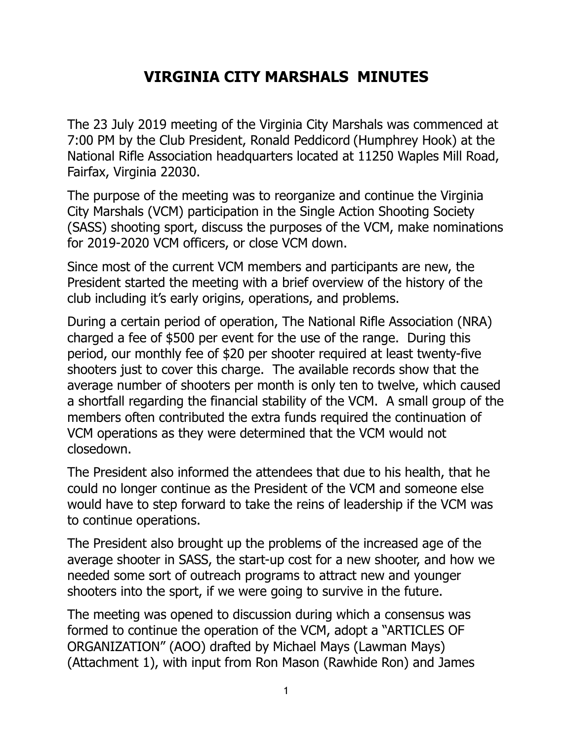## **VIRGINIA CITY MARSHALS MINUTES**

The 23 July 2019 meeting of the Virginia City Marshals was commenced at 7:00 PM by the Club President, Ronald Peddicord (Humphrey Hook) at the National Rifle Association headquarters located at 11250 Waples Mill Road, Fairfax, Virginia 22030.

The purpose of the meeting was to reorganize and continue the Virginia City Marshals (VCM) participation in the Single Action Shooting Society (SASS) shooting sport, discuss the purposes of the VCM, make nominations for 2019-2020 VCM officers, or close VCM down.

Since most of the current VCM members and participants are new, the President started the meeting with a brief overview of the history of the club including it's early origins, operations, and problems.

During a certain period of operation, The National Rifle Association (NRA) charged a fee of \$500 per event for the use of the range. During this period, our monthly fee of \$20 per shooter required at least twenty-five shooters just to cover this charge. The available records show that the average number of shooters per month is only ten to twelve, which caused a shortfall regarding the financial stability of the VCM. A small group of the members often contributed the extra funds required the continuation of VCM operations as they were determined that the VCM would not closedown.

The President also informed the attendees that due to his health, that he could no longer continue as the President of the VCM and someone else would have to step forward to take the reins of leadership if the VCM was to continue operations.

The President also brought up the problems of the increased age of the average shooter in SASS, the start-up cost for a new shooter, and how we needed some sort of outreach programs to attract new and younger shooters into the sport, if we were going to survive in the future.

The meeting was opened to discussion during which a consensus was formed to continue the operation of the VCM, adopt a "ARTICLES OF ORGANIZATION" (AOO) drafted by Michael Mays (Lawman Mays) (Attachment 1), with input from Ron Mason (Rawhide Ron) and James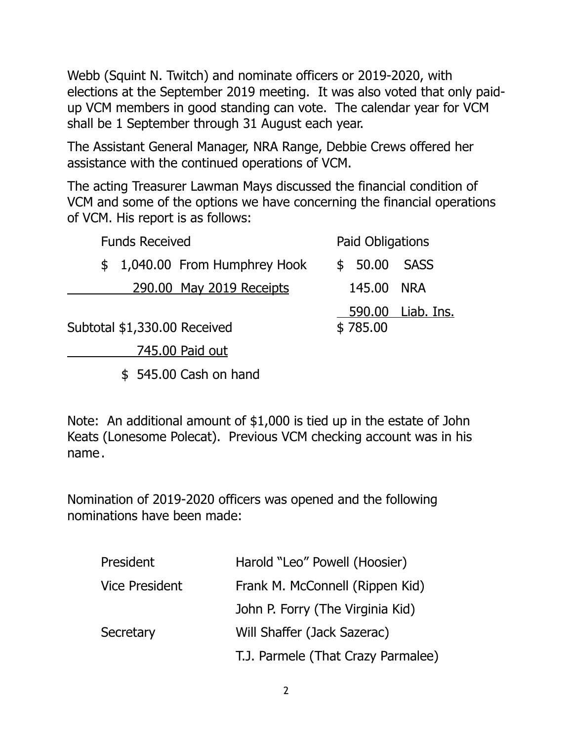Webb (Squint N. Twitch) and nominate officers or 2019-2020, with elections at the September 2019 meeting. It was also voted that only paidup VCM members in good standing can vote. The calendar year for VCM shall be 1 September through 31 August each year.

The Assistant General Manager, NRA Range, Debbie Crews offered her assistance with the continued operations of VCM.

The acting Treasurer Lawman Mays discussed the financial condition of VCM and some of the options we have concerning the financial operations of VCM. His report is as follows:

| <b>Funds Received</b> |                              |                                | <b>Paid Obligations</b> |               |                   |
|-----------------------|------------------------------|--------------------------------|-------------------------|---------------|-------------------|
|                       |                              | \$ 1,040.00 From Humphrey Hook |                         | \$ 50.00 SASS |                   |
|                       |                              | 290.00 May 2019 Receipts       |                         | 145.00 NRA    |                   |
|                       | Subtotal \$1,330.00 Received |                                |                         | \$785.00      | 590.00 Liab. Ins. |

745.00 Paid out

\$ 545.00 Cash on hand

Note: An additional amount of \$1,000 is tied up in the estate of John Keats (Lonesome Polecat). Previous VCM checking account was in his name .

Nomination of 2019-2020 officers was opened and the following nominations have been made:

| President             | Harold "Leo" Powell (Hoosier)      |
|-----------------------|------------------------------------|
| <b>Vice President</b> | Frank M. McConnell (Rippen Kid)    |
|                       | John P. Forry (The Virginia Kid)   |
| Secretary             | Will Shaffer (Jack Sazerac)        |
|                       | T.J. Parmele (That Crazy Parmalee) |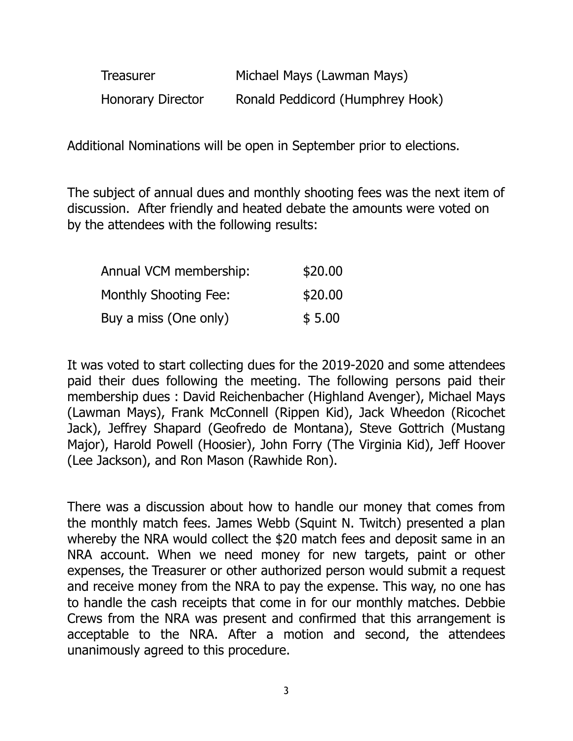| Treasurer                | Michael Mays (Lawman Mays)       |
|--------------------------|----------------------------------|
| <b>Honorary Director</b> | Ronald Peddicord (Humphrey Hook) |

Additional Nominations will be open in September prior to elections.

The subject of annual dues and monthly shooting fees was the next item of discussion. After friendly and heated debate the amounts were voted on by the attendees with the following results:

| Annual VCM membership: | \$20.00 |
|------------------------|---------|
| Monthly Shooting Fee:  | \$20.00 |
| Buy a miss (One only)  | \$5.00  |

It was voted to start collecting dues for the 2019-2020 and some attendees paid their dues following the meeting. The following persons paid their membership dues : David Reichenbacher (Highland Avenger), Michael Mays (Lawman Mays), Frank McConnell (Rippen Kid), Jack Wheedon (Ricochet Jack), Jeffrey Shapard (Geofredo de Montana), Steve Gottrich (Mustang Major), Harold Powell (Hoosier), John Forry (The Virginia Kid), Jeff Hoover (Lee Jackson), and Ron Mason (Rawhide Ron).

There was a discussion about how to handle our money that comes from the monthly match fees. James Webb (Squint N. Twitch) presented a plan whereby the NRA would collect the \$20 match fees and deposit same in an NRA account. When we need money for new targets, paint or other expenses, the Treasurer or other authorized person would submit a request and receive money from the NRA to pay the expense. This way, no one has to handle the cash receipts that come in for our monthly matches. Debbie Crews from the NRA was present and confirmed that this arrangement is acceptable to the NRA. After a motion and second, the attendees unanimously agreed to this procedure.